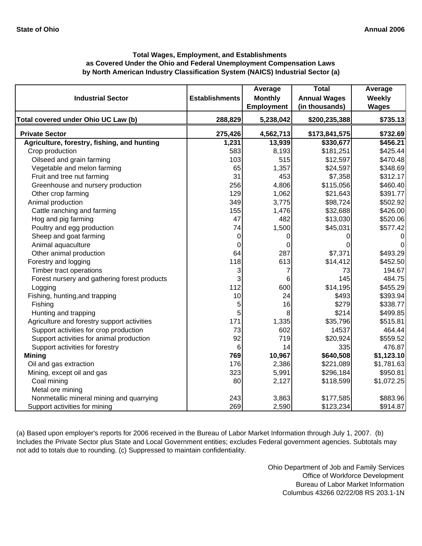# **by North American Industry Classification System (NAICS) Industrial Sector (a) Total Wages, Employment, and Establishments as Covered Under the Ohio and Federal Unemployment Compensation Laws**

| <b>Industrial Sector</b>                     | <b>Establishments</b> | Average<br><b>Monthly</b> | <b>Total</b><br><b>Annual Wages</b> | Average<br>Weekly |
|----------------------------------------------|-----------------------|---------------------------|-------------------------------------|-------------------|
|                                              |                       | <b>Employment</b>         | (in thousands)                      | <b>Wages</b>      |
| Total covered under Ohio UC Law (b)          | 288,829               | 5,238,042                 | \$200,235,388                       | \$735.13          |
| <b>Private Sector</b>                        | 275,426               | 4,562,713                 | \$173,841,575                       | \$732.69          |
| Agriculture, forestry, fishing, and hunting  | 1,231                 | 13,939                    | \$330,677                           | \$456.21          |
| Crop production                              | 583                   | 8,193                     | \$181,251                           | \$425.44          |
| Oilseed and grain farming                    | 103                   | 515                       | \$12,597                            | \$470.48          |
| Vegetable and melon farming                  | 65                    | 1,357                     | \$24,597                            | \$348.69          |
| Fruit and tree nut farming                   | 31                    | 453                       | \$7,358                             | \$312.17          |
| Greenhouse and nursery production            | 256                   | 4,806                     | \$115,056                           | \$460.40          |
| Other crop farming                           | 129                   | 1,062                     | \$21,643                            | \$391.77          |
| Animal production                            | 349                   | 3,775                     | \$98,724                            | \$502.92          |
| Cattle ranching and farming                  | 155                   | 1,476                     | \$32,688                            | \$426.00          |
| Hog and pig farming                          | 47                    | 482                       | \$13,030                            | \$520.06          |
| Poultry and egg production                   | 74                    | 1,500                     | \$45,031                            | \$577.42          |
| Sheep and goat farming                       | 0                     | 0                         | 0                                   |                   |
| Animal aquaculture                           | 0                     | $\mathbf 0$               |                                     |                   |
| Other animal production                      | 64                    | 287                       | \$7,371                             | \$493.29          |
| Forestry and logging                         | 118                   | 613                       | \$14,412                            | \$452.50          |
| Timber tract operations                      | 3                     | 7                         | 73                                  | 194.67            |
| Forest nursery and gathering forest products | 3                     | 6                         | 145                                 | 484.75            |
| Logging                                      | 112                   | 600                       | \$14,195                            | \$455.29          |
| Fishing, hunting, and trapping               | 10                    | 24                        | \$493                               | \$393.94          |
| Fishing                                      | 5                     | 16                        | \$279                               | \$338.77          |
| Hunting and trapping                         | 5                     | 8                         | \$214                               | \$499.85          |
| Agriculture and forestry support activities  | 171                   | 1,335                     | \$35,796                            | \$515.81          |
| Support activities for crop production       | 73                    | 602                       | 14537                               | 464.44            |
| Support activities for animal production     | 92                    | 719                       | \$20,924                            | \$559.52          |
| Support activities for forestry              | 6                     | 14                        | 335                                 | 476.87            |
| <b>Mining</b>                                | 769                   | 10,967                    | \$640,508                           | \$1,123.10        |
| Oil and gas extraction                       | 176                   | 2,386                     | \$221,089                           | \$1,781.63        |
| Mining, except oil and gas                   | 323                   | 5,991                     | \$296,184                           | \$950.81          |
| Coal mining                                  | 80                    | 2,127                     | \$118,599                           | \$1,072.25        |
| Metal ore mining                             |                       |                           |                                     |                   |
| Nonmetallic mineral mining and quarrying     | 243                   | 3,863                     | \$177,585                           | \$883.96          |
| Support activities for mining                | 269                   | 2,590                     | \$123,234                           | \$914.87          |

(a) Based upon employer's reports for 2006 received in the Bureau of Labor Market Information through July 1, 2007. (b) Includes the Private Sector plus State and Local Government entities; excludes Federal government agencies. Subtotals may not add to totals due to rounding. (c) Suppressed to maintain confidentiality.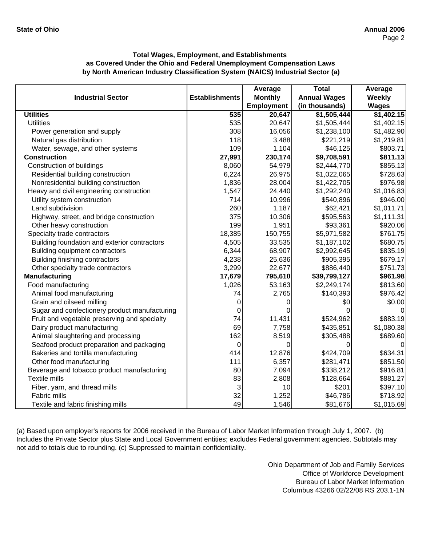|                                               |                       | Average        | <b>Total</b>        | Average       |
|-----------------------------------------------|-----------------------|----------------|---------------------|---------------|
| <b>Industrial Sector</b>                      | <b>Establishments</b> | <b>Monthly</b> | <b>Annual Wages</b> | <b>Weekly</b> |
|                                               |                       | Employment     | (in thousands)      | <b>Wages</b>  |
| <b>Utilities</b>                              | 535                   | 20,647         | \$1,505,444         | \$1,402.15    |
| <b>Utilities</b>                              | 535                   | 20,647         | \$1,505,444         | \$1,402.15    |
| Power generation and supply                   | 308                   | 16,056         | \$1,238,100         | \$1,482.90    |
| Natural gas distribution                      | 118                   | 3,488          | \$221,219           | \$1,219.81    |
| Water, sewage, and other systems              | 109                   | 1,104          | \$46,125            | \$803.71      |
| <b>Construction</b>                           | 27,991                | 230,174        | \$9,708,591         | \$811.13      |
| Construction of buildings                     | 8,060                 | 54,979         | \$2,444,770         | \$855.13      |
| Residential building construction             | 6,224                 | 26,975         | \$1,022,065         | \$728.63      |
| Nonresidential building construction          | 1,836                 | 28,004         | \$1,422,705         | \$976.98      |
| Heavy and civil engineering construction      | 1,547                 | 24,440         | \$1,292,240         | \$1,016.83    |
| Utility system construction                   | 714                   | 10,996         | \$540,896           | \$946.00      |
| Land subdivision                              | 260                   | 1,187          | \$62,421            | \$1,011.71    |
| Highway, street, and bridge construction      | 375                   | 10,306         | \$595,563           | \$1,111.31    |
| Other heavy construction                      | 199                   | 1,951          | \$93,361            | \$920.06      |
| Specialty trade contractors                   | 18,385                | 150,755        | \$5,971,582         | \$761.75      |
| Building foundation and exterior contractors  | 4,505                 | 33,535         | \$1,187,102         | \$680.75      |
| Building equipment contractors                | 6,344                 | 68,907         | \$2,992,645         | \$835.19      |
| Building finishing contractors                | 4,238                 | 25,636         | \$905,395           | \$679.17      |
| Other specialty trade contractors             | 3,299                 | 22,677         | \$886,440           | \$751.73      |
| <b>Manufacturing</b>                          | 17,679                | 795,610        | \$39,799,127        | \$961.98      |
| Food manufacturing                            | 1,026                 | 53,163         | \$2,249,174         | \$813.60      |
| Animal food manufacturing                     | 74                    | 2,765          | \$140,393           | \$976.42      |
| Grain and oilseed milling                     | 0                     | O              | \$0                 | \$0.00        |
| Sugar and confectionery product manufacturing | 0                     |                |                     | 0             |
| Fruit and vegetable preserving and specialty  | 74                    | 11,431         | \$524,962           | \$883.19      |
| Dairy product manufacturing                   | 69                    | 7,758          | \$435,851           | \$1,080.38    |
| Animal slaughtering and processing            | 162                   | 8,519          | \$305,488           | \$689.60      |
| Seafood product preparation and packaging     | 0                     | 0              | O                   | 0             |
| Bakeries and tortilla manufacturing           | 414                   | 12,876         | \$424,709           | \$634.31      |
| Other food manufacturing                      | 111                   | 6,357          | \$281,471           | \$851.50      |
| Beverage and tobacco product manufacturing    | 80                    | 7,094          | \$338,212           | \$916.81      |
| <b>Textile mills</b>                          | 83                    | 2,808          | \$128,664           | \$881.27      |
| Fiber, yarn, and thread mills                 | 3                     | 10             | \$201               | \$397.10      |
| Fabric mills                                  | 32                    | 1,252          | \$46,786            | \$718.92      |
| Textile and fabric finishing mills            | 49                    | 1,546          | \$81,676            | \$1,015.69    |

(a) Based upon employer's reports for 2006 received in the Bureau of Labor Market Information through July 1, 2007. (b) Includes the Private Sector plus State and Local Government entities; excludes Federal government agencies. Subtotals may not add to totals due to rounding. (c) Suppressed to maintain confidentiality.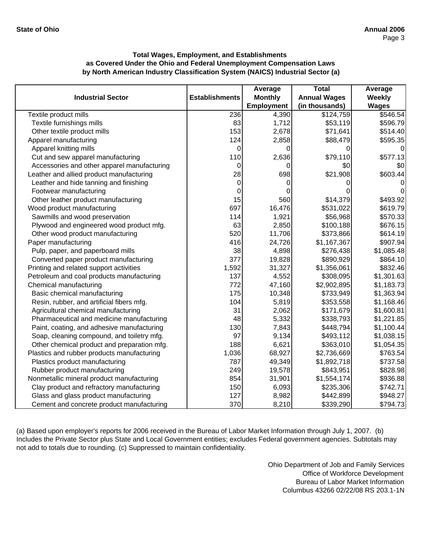|                                             |                       | Average           | <b>Total</b>        | Average      |
|---------------------------------------------|-----------------------|-------------------|---------------------|--------------|
| <b>Industrial Sector</b>                    | <b>Establishments</b> | <b>Monthly</b>    | <b>Annual Wages</b> | Weekly       |
|                                             |                       | <b>Employment</b> | (in thousands)      | <b>Wages</b> |
| Textile product mills                       | 236                   | 4,390             | \$124,759           | \$546.54     |
| Textile furnishings mills                   | 83                    | 1,712             | \$53,119            | \$596.79     |
| Other textile product mills                 | 153                   | 2,678             | \$71,641            | \$514.40     |
| Apparel manufacturing                       | 124                   | 2,858             | \$88,479            | \$595.35     |
| Apparel knitting mills                      | 0                     | 0                 |                     | 0            |
| Cut and sew apparel manufacturing           | 110                   | 2,636             | \$79,110            | \$577.13     |
| Accessories and other apparel manufacturing | 0                     |                   | \$0                 | \$0          |
| Leather and allied product manufacturing    | 28                    | 698               | \$21,908            | \$603.44     |
| Leather and hide tanning and finishing      | 0                     | 0                 |                     | 0            |
| Footwear manufacturing                      | 0                     |                   |                     | 0            |
| Other leather product manufacturing         | 15                    | 560               | \$14,379            | \$493.92     |
| Wood product manufacturing                  | 697                   | 16,476            | \$531,022           | \$619.79     |
| Sawmills and wood preservation              | 114                   | 1,921             | \$56,968            | \$570.33     |
| Plywood and engineered wood product mfg.    | 63                    | 2,850             | \$100,188           | \$676.15     |
| Other wood product manufacturing            | 520                   | 11,706            | \$373,866           | \$614.19     |
| Paper manufacturing                         | 416                   | 24,726            | \$1,167,367         | \$907.94     |
| Pulp, paper, and paperboard mills           | 38                    | 4,898             | \$276,438           | \$1,085.48   |
| Converted paper product manufacturing       | 377                   | 19,828            | \$890,929           | \$864.10     |
| Printing and related support activities     | 1,592                 | 31,327            | \$1,356,061         | \$832.46     |
| Petroleum and coal products manufacturing   | 137                   | 4,552             | \$308,095           | \$1,301.63   |
| Chemical manufacturing                      | 772                   | 47,160            | \$2,902,895         | \$1,183.73   |
| Basic chemical manufacturing                | 175                   | 10,348            | \$733,949           | \$1,363.94   |
| Resin, rubber, and artificial fibers mfg.   | 104                   | 5,819             | \$353,558           | \$1,168.46   |
| Agricultural chemical manufacturing         | 31                    | 2,062             | \$171,679           | \$1,600.81   |
| Pharmaceutical and medicine manufacturing   | 48                    | 5,332             | \$338,793           | \$1,221.85   |
| Paint, coating, and adhesive manufacturing  | 130                   | 7,843             | \$448,794           | \$1,100.44   |
| Soap, cleaning compound, and toiletry mfg.  | 97                    | 9,134             | \$493,112           | \$1,038.15   |
| Other chemical product and preparation mfg. | 188                   | 6,621             | \$363,010           | \$1,054.35   |
| Plastics and rubber products manufacturing  | 1,036                 | 68,927            | \$2,736,669         | \$763.54     |
| Plastics product manufacturing              | 787                   | 49,349            | \$1,892,718         | \$737.58     |
| Rubber product manufacturing                | 249                   | 19,578            | \$843,951           | \$828.98     |
| Nonmetallic mineral product manufacturing   | 854                   | 31,901            | \$1,554,174         | \$936.88     |
| Clay product and refractory manufacturing   | 150                   | 6,093             | \$235,306           | \$742.71     |
| Glass and glass product manufacturing       | 127                   | 8,982             | \$442,899           | \$948.27     |
| Cement and concrete product manufacturing   | 370                   | 8,210             | \$339,290           | \$794.73     |

(a) Based upon employer's reports for 2006 received in the Bureau of Labor Market Information through July 1, 2007. (b) Includes the Private Sector plus State and Local Government entities; excludes Federal government agencies. Subtotals may not add to totals due to rounding. (c) Suppressed to maintain confidentiality.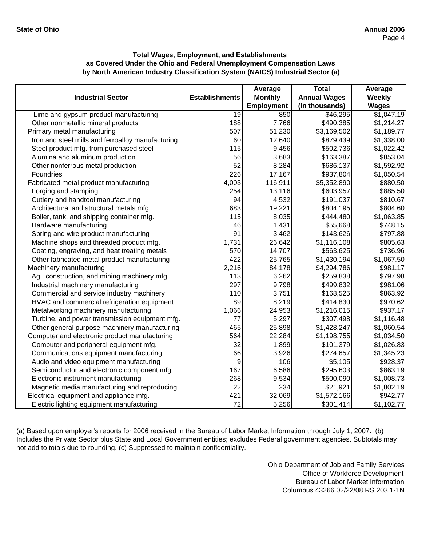|                                                   |                       | Average           | <b>Total</b>        | Average      |
|---------------------------------------------------|-----------------------|-------------------|---------------------|--------------|
| <b>Industrial Sector</b>                          | <b>Establishments</b> | <b>Monthly</b>    | <b>Annual Wages</b> | Weekly       |
|                                                   |                       | <b>Employment</b> | (in thousands)      | <b>Wages</b> |
| Lime and gypsum product manufacturing             | $\overline{19}$       | 850               | \$46,295            | \$1,047.19   |
| Other nonmetallic mineral products                | 188                   | 7,766             | \$490,385           | \$1,214.27   |
| Primary metal manufacturing                       | 507                   | 51,230            | \$3,169,502         | \$1,189.77   |
| Iron and steel mills and ferroalloy manufacturing | 60                    | 12,640            | \$879,439           | \$1,338.00   |
| Steel product mfg. from purchased steel           | 115                   | 9,456             | \$502,736           | \$1,022.42   |
| Alumina and aluminum production                   | 56                    | 3,683             | \$163,387           | \$853.04     |
| Other nonferrous metal production                 | 52                    | 8,284             | \$686,137           | \$1,592.92   |
| Foundries                                         | 226                   | 17,167            | \$937,804           | \$1,050.54   |
| Fabricated metal product manufacturing            | 4,003                 | 116,911           | \$5,352,890         | \$880.50     |
| Forging and stamping                              | 254                   | 13,116            | \$603,957           | \$885.50     |
| Cutlery and handtool manufacturing                | 94                    | 4,532             | \$191,037           | \$810.67     |
| Architectural and structural metals mfg.          | 683                   | 19,221            | \$804,195           | \$804.60     |
| Boiler, tank, and shipping container mfg.         | 115                   | 8,035             | \$444,480           | \$1,063.85   |
| Hardware manufacturing                            | 46                    | 1,431             | \$55,668            | \$748.15     |
| Spring and wire product manufacturing             | 91                    | 3,462             | \$143,626           | \$797.88     |
| Machine shops and threaded product mfg.           | 1,731                 | 26,642            | \$1,116,108         | \$805.63     |
| Coating, engraving, and heat treating metals      | 570                   | 14,707            | \$563,625           | \$736.96     |
| Other fabricated metal product manufacturing      | 422                   | 25,765            | \$1,430,194         | \$1,067.50   |
| Machinery manufacturing                           | 2,216                 | 84,178            | \$4,294,786         | \$981.17     |
| Ag., construction, and mining machinery mfg.      | 113                   | 6,262             | \$259,838           | \$797.98     |
| Industrial machinery manufacturing                | 297                   | 9,798             | \$499,832           | \$981.06     |
| Commercial and service industry machinery         | 110                   | 3,751             | \$168,525           | \$863.92     |
| HVAC and commercial refrigeration equipment       | 89                    | 8,219             | \$414,830           | \$970.62     |
| Metalworking machinery manufacturing              | 1,066                 | 24,953            | \$1,216,015         | \$937.17     |
| Turbine, and power transmission equipment mfg.    | 77                    | 5,297             | \$307,498           | \$1,116.48   |
| Other general purpose machinery manufacturing     | 465                   | 25,898            | \$1,428,247         | \$1,060.54   |
| Computer and electronic product manufacturing     | 564                   | 22,284            | \$1,198,755         | \$1,034.50   |
| Computer and peripheral equipment mfg.            | 32                    | 1,899             | \$101,379           | \$1,026.83   |
| Communications equipment manufacturing            | 66                    | 3,926             | \$274,657           | \$1,345.23   |
| Audio and video equipment manufacturing           | 9                     | 106               | \$5,105             | \$928.37     |
| Semiconductor and electronic component mfg.       | 167                   | 6,586             | \$295,603           | \$863.19     |
| Electronic instrument manufacturing               | 268                   | 9,534             | \$500,090           | \$1,008.73   |
| Magnetic media manufacturing and reproducing      | 22                    | 234               | \$21,921            | \$1,802.19   |
| Electrical equipment and appliance mfg.           | 421                   | 32,069            | \$1,572,166         | \$942.77     |
| Electric lighting equipment manufacturing         | 72                    | 5,256             | \$301,414           | \$1,102.77   |

(a) Based upon employer's reports for 2006 received in the Bureau of Labor Market Information through July 1, 2007. (b) Includes the Private Sector plus State and Local Government entities; excludes Federal government agencies. Subtotals may not add to totals due to rounding. (c) Suppressed to maintain confidentiality.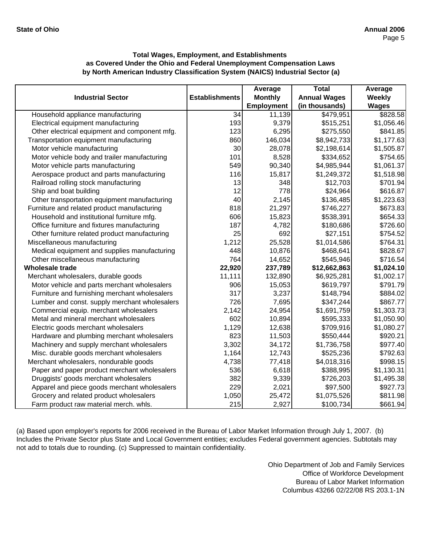|                                               |                       | Average           | <b>Total</b>        | Average      |
|-----------------------------------------------|-----------------------|-------------------|---------------------|--------------|
| <b>Industrial Sector</b>                      | <b>Establishments</b> | <b>Monthly</b>    | <b>Annual Wages</b> | Weekly       |
|                                               |                       | <b>Employment</b> | (in thousands)      | <b>Wages</b> |
| Household appliance manufacturing             | 34                    | 11,139            | \$479,951           | \$828.58     |
| Electrical equipment manufacturing            | 193                   | 9,379             | \$515,251           | \$1,056.46   |
| Other electrical equipment and component mfg. | 123                   | 6,295             | \$275,550           | \$841.85     |
| Transportation equipment manufacturing        | 860                   | 146,034           | \$8,942,733         | \$1,177.63   |
| Motor vehicle manufacturing                   | 30                    | 28,078            | \$2,198,614         | \$1,505.87   |
| Motor vehicle body and trailer manufacturing  | 101                   | 8,528             | \$334,652           | \$754.65     |
| Motor vehicle parts manufacturing             | 549                   | 90,340            | \$4,985,944         | \$1,061.37   |
| Aerospace product and parts manufacturing     | 116                   | 15,817            | \$1,249,372         | \$1,518.98   |
| Railroad rolling stock manufacturing          | 13                    | 348               | \$12,703            | \$701.94     |
| Ship and boat building                        | 12                    | 778               | \$24,964            | \$616.87     |
| Other transportation equipment manufacturing  | 40                    | 2,145             | \$136,485           | \$1,223.63   |
| Furniture and related product manufacturing   | 818                   | 21,297            | \$746,227           | \$673.83     |
| Household and institutional furniture mfg.    | 606                   | 15,823            | \$538,391           | \$654.33     |
| Office furniture and fixtures manufacturing   | 187                   | 4,782             | \$180,686           | \$726.60     |
| Other furniture related product manufacturing | 25                    | 692               | \$27,151            | \$754.52     |
| Miscellaneous manufacturing                   | 1,212                 | 25,528            | \$1,014,586         | \$764.31     |
| Medical equipment and supplies manufacturing  | 448                   | 10,876            | \$468,641           | \$828.67     |
| Other miscellaneous manufacturing             | 764                   | 14,652            | \$545,946           | \$716.54     |
| <b>Wholesale trade</b>                        | 22,920                | 237,789           | \$12,662,863        | \$1,024.10   |
| Merchant wholesalers, durable goods           | 11,111                | 132,890           | \$6,925,281         | \$1,002.17   |
| Motor vehicle and parts merchant wholesalers  | 906                   | 15,053            | \$619,797           | \$791.79     |
| Furniture and furnishing merchant wholesalers | 317                   | 3,237             | \$148,794           | \$884.02     |
| Lumber and const. supply merchant wholesalers | 726                   | 7,695             | \$347,244           | \$867.77     |
| Commercial equip. merchant wholesalers        | 2,142                 | 24,954            | \$1,691,759         | \$1,303.73   |
| Metal and mineral merchant wholesalers        | 602                   | 10,894            | \$595,333           | \$1,050.90   |
| Electric goods merchant wholesalers           | 1,129                 | 12,638            | \$709,916           | \$1,080.27   |
| Hardware and plumbing merchant wholesalers    | 823                   | 11,503            | \$550,444           | \$920.21     |
| Machinery and supply merchant wholesalers     | 3,302                 | 34,172            | \$1,736,758         | \$977.40     |
| Misc. durable goods merchant wholesalers      | 1,164                 | 12,743            | \$525,236           | \$792.63     |
| Merchant wholesalers, nondurable goods        | 4,738                 | 77,418            | \$4,018,316         | \$998.15     |
| Paper and paper product merchant wholesalers  | 536                   | 6,618             | \$388,995           | \$1,130.31   |
| Druggists' goods merchant wholesalers         | 382                   | 9,339             | \$726,203           | \$1,495.38   |
| Apparel and piece goods merchant wholesalers  | 229                   | 2,021             | \$97,500            | \$927.73     |
| Grocery and related product wholesalers       | 1,050                 | 25,472            | \$1,075,526         | \$811.98     |
| Farm product raw material merch. whls.        | 215                   | 2,927             | \$100,734           | \$661.94     |

(a) Based upon employer's reports for 2006 received in the Bureau of Labor Market Information through July 1, 2007. (b) Includes the Private Sector plus State and Local Government entities; excludes Federal government agencies. Subtotals may not add to totals due to rounding. (c) Suppressed to maintain confidentiality.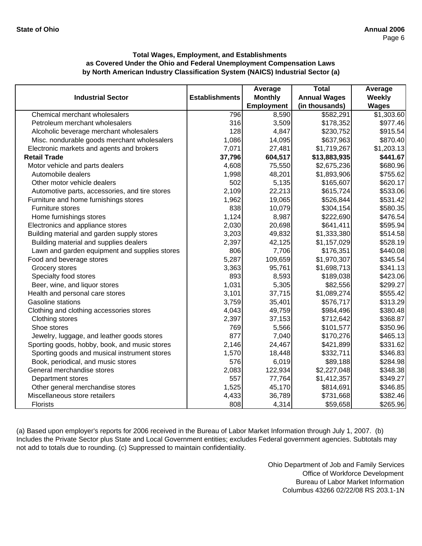|                                                |                       | Average           | <b>Total</b>        | Average       |
|------------------------------------------------|-----------------------|-------------------|---------------------|---------------|
| <b>Industrial Sector</b>                       | <b>Establishments</b> | <b>Monthly</b>    | <b>Annual Wages</b> | <b>Weekly</b> |
|                                                |                       | <b>Employment</b> | (in thousands)      | <b>Wages</b>  |
| Chemical merchant wholesalers                  | 796                   | 8,590             | \$582,291           | \$1,303.60    |
| Petroleum merchant wholesalers                 | 316                   | 3,509             | \$178,352           | \$977.46      |
| Alcoholic beverage merchant wholesalers        | 128                   | 4,847             | \$230,752           | \$915.54      |
| Misc. nondurable goods merchant wholesalers    | 1,086                 | 14,095            | \$637,963           | \$870.40      |
| Electronic markets and agents and brokers      | 7,071                 | 27,481            | \$1,719,267         | \$1,203.13    |
| <b>Retail Trade</b>                            | 37,796                | 604,517           | \$13,883,935        | \$441.67      |
| Motor vehicle and parts dealers                | 4,608                 | 75,550            | \$2,675,236         | \$680.96      |
| Automobile dealers                             | 1,998                 | 48,201            | \$1,893,906         | \$755.62      |
| Other motor vehicle dealers                    | 502                   | 5,135             | \$165,607           | \$620.17      |
| Automotive parts, accessories, and tire stores | 2,109                 | 22,213            | \$615,724           | \$533.06      |
| Furniture and home furnishings stores          | 1,962                 | 19,065            | \$526,844           | \$531.42      |
| Furniture stores                               | 838                   | 10,079            | \$304,154           | \$580.35      |
| Home furnishings stores                        | 1,124                 | 8,987             | \$222,690           | \$476.54      |
| Electronics and appliance stores               | 2,030                 | 20,698            | \$641,411           | \$595.94      |
| Building material and garden supply stores     | 3,203                 | 49,832            | \$1,333,380         | \$514.58      |
| Building material and supplies dealers         | 2,397                 | 42,125            | \$1,157,029         | \$528.19      |
| Lawn and garden equipment and supplies stores  | 806                   | 7,706             | \$176,351           | \$440.08      |
| Food and beverage stores                       | 5,287                 | 109,659           | \$1,970,307         | \$345.54      |
| Grocery stores                                 | 3,363                 | 95,761            | \$1,698,713         | \$341.13      |
| Specialty food stores                          | 893                   | 8,593             | \$189,038           | \$423.06      |
| Beer, wine, and liquor stores                  | 1,031                 | 5,305             | \$82,556            | \$299.27      |
| Health and personal care stores                | 3,101                 | 37,715            | \$1,089,274         | \$555.42      |
| Gasoline stations                              | 3,759                 | 35,401            | \$576,717           | \$313.29      |
| Clothing and clothing accessories stores       | 4,043                 | 49,759            | \$984,496           | \$380.48      |
| Clothing stores                                | 2,397                 | 37,153            | \$712,642           | \$368.87      |
| Shoe stores                                    | 769                   | 5,566             | \$101,577           | \$350.96      |
| Jewelry, luggage, and leather goods stores     | 877                   | 7,040             | \$170,276           | \$465.13      |
| Sporting goods, hobby, book, and music stores  | 2,146                 | 24,467            | \$421,899           | \$331.62      |
| Sporting goods and musical instrument stores   | 1,570                 | 18,448            | \$332,711           | \$346.83      |
| Book, periodical, and music stores             | 576                   | 6,019             | \$89,188            | \$284.98      |
| General merchandise stores                     | 2,083                 | 122,934           | \$2,227,048         | \$348.38      |
| Department stores                              | 557                   | 77,764            | \$1,412,357         | \$349.27      |
| Other general merchandise stores               | 1,525                 | 45,170            | \$814,691           | \$346.85      |
| Miscellaneous store retailers                  | 4,433                 | 36,789            | \$731,668           | \$382.46      |
| Florists                                       | 808                   | 4,314             | \$59,658            | \$265.96      |

(a) Based upon employer's reports for 2006 received in the Bureau of Labor Market Information through July 1, 2007. (b) Includes the Private Sector plus State and Local Government entities; excludes Federal government agencies. Subtotals may not add to totals due to rounding. (c) Suppressed to maintain confidentiality.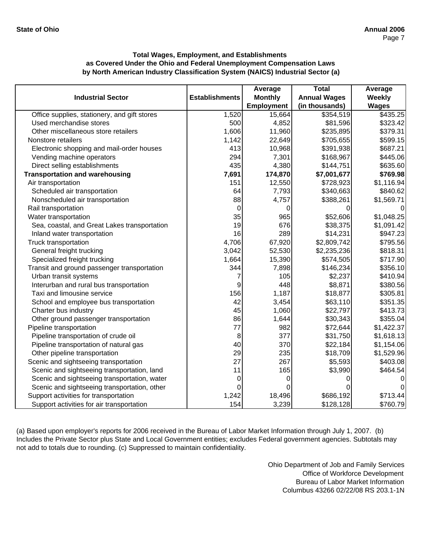|                                              |                       | Average           | <b>Total</b>        | Average        |
|----------------------------------------------|-----------------------|-------------------|---------------------|----------------|
| <b>Industrial Sector</b>                     | <b>Establishments</b> | <b>Monthly</b>    | <b>Annual Wages</b> | <b>Weekly</b>  |
|                                              |                       | <b>Employment</b> | (in thousands)      | <b>Wages</b>   |
| Office supplies, stationery, and gift stores | 1,520                 | 15,664            | \$354,519           | \$435.25       |
| Used merchandise stores                      | 500                   | 4,852             | \$81,596            | \$323.42       |
| Other miscellaneous store retailers          | 1,606                 | 11,960            | \$235,895           | \$379.31       |
| Nonstore retailers                           | 1,142                 | 22,649            | \$705,655           | \$599.15       |
| Electronic shopping and mail-order houses    | 413                   | 10,968            | \$391,938           | \$687.21       |
| Vending machine operators                    | 294                   | 7,301             | \$168,967           | \$445.06       |
| Direct selling establishments                | 435                   | 4,380             | \$144,751           | \$635.60       |
| <b>Transportation and warehousing</b>        | 7,691                 | 174,870           | \$7,001,677         | \$769.98       |
| Air transportation                           | 151                   | 12,550            | \$728,923           | \$1,116.94     |
| Scheduled air transportation                 | 64                    | 7,793             | \$340,663           | \$840.62       |
| Nonscheduled air transportation              | 88                    | 4,757             | \$388,261           | \$1,569.71     |
| Rail transportation                          | 0                     | 0                 | 0                   | $\Omega$       |
| Water transportation                         | 35                    | 965               | \$52,606            | \$1,048.25     |
| Sea, coastal, and Great Lakes transportation | 19                    | 676               | \$38,375            | \$1,091.42     |
| Inland water transportation                  | 16                    | 289               | \$14,231            | \$947.23       |
| Truck transportation                         | 4,706                 | 67,920            | \$2,809,742         | \$795.56       |
| General freight trucking                     | 3,042                 | 52,530            | \$2,235,236         | \$818.31       |
| Specialized freight trucking                 | 1,664                 | 15,390            | \$574,505           | \$717.90       |
| Transit and ground passenger transportation  | 344                   | 7,898             | \$146,234           | \$356.10       |
| Urban transit systems                        | 7                     | 105               | \$2,237             | \$410.94       |
| Interurban and rural bus transportation      | 9                     | 448               | \$8,871             | \$380.56       |
| Taxi and limousine service                   | 156                   | 1,187             | \$18,877            | \$305.81       |
| School and employee bus transportation       | 42                    | 3,454             | \$63,110            | \$351.35       |
| Charter bus industry                         | 45                    | 1,060             | \$22,797            | \$413.73       |
| Other ground passenger transportation        | 86                    | 1,644             | \$30,343            | \$355.04       |
| Pipeline transportation                      | 77                    | 982               | \$72,644            | \$1,422.37     |
| Pipeline transportation of crude oil         | 8                     | 377               | \$31,750            | \$1,618.13     |
| Pipeline transportation of natural gas       | 40                    | 370               | \$22,184            | \$1,154.06     |
| Other pipeline transportation                | 29                    | 235               | \$18,709            | \$1,529.96     |
| Scenic and sightseeing transportation        | 27                    | 267               | \$5,593             | \$403.08       |
| Scenic and sightseeing transportation, land  | 11                    | 165               | \$3,990             | \$464.54       |
| Scenic and sightseeing transportation, water | 0                     | 0                 | O                   | $\overline{0}$ |
| Scenic and sightseeing transportation, other | 0                     |                   |                     | $\mathbf 0$    |
| Support activities for transportation        | 1,242                 | 18,496            | \$686,192           | \$713.44       |
| Support activities for air transportation    | 154                   | 3,239             | \$128,128           | \$760.79       |

(a) Based upon employer's reports for 2006 received in the Bureau of Labor Market Information through July 1, 2007. (b) Includes the Private Sector plus State and Local Government entities; excludes Federal government agencies. Subtotals may not add to totals due to rounding. (c) Suppressed to maintain confidentiality.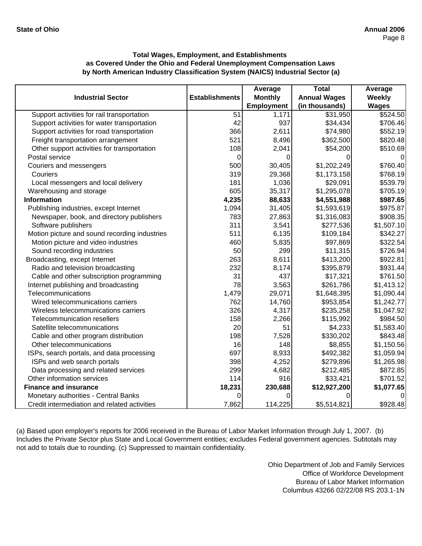|                                               |                       | Average           | <b>Total</b>        | Average        |
|-----------------------------------------------|-----------------------|-------------------|---------------------|----------------|
| <b>Industrial Sector</b>                      | <b>Establishments</b> | <b>Monthly</b>    | <b>Annual Wages</b> | Weekly         |
|                                               |                       | <b>Employment</b> | (in thousands)      | <b>Wages</b>   |
| Support activities for rail transportation    | 51                    | 1,171             | \$31,950            | \$524.50       |
| Support activities for water transportation   | 42                    | 937               | \$34,434            | \$706.46       |
| Support activities for road transportation    | 366                   | 2,611             | \$74,980            | \$552.19       |
| Freight transportation arrangement            | 521                   | 8,496             | \$362,500           | \$820.48       |
| Other support activities for transportation   | 108                   | 2,041             | \$54,200            | \$510.69       |
| Postal service                                | 0                     | 0                 | O                   | $\mathbf 0$    |
| Couriers and messengers                       | 500                   | 30,405            | \$1,202,249         | \$760.40       |
| Couriers                                      | 319                   | 29,368            | \$1,173,158         | \$768.19       |
| Local messengers and local delivery           | 181                   | 1,036             | \$29,091            | \$539.79       |
| Warehousing and storage                       | 605                   | 35,317            | \$1,295,078         | \$705.19       |
| <b>Information</b>                            | 4,235                 | 88,633            | \$4,551,988         | \$987.65       |
| Publishing industries, except Internet        | 1,094                 | 31,405            | \$1,593,619         | \$975.87       |
| Newspaper, book, and directory publishers     | 783                   | 27,863            | \$1,316,083         | \$908.35       |
| Software publishers                           | 311                   | 3,541             | \$277,536           | \$1,507.10     |
| Motion picture and sound recording industries | 511                   | 6,135             | \$109,184           | \$342.27       |
| Motion picture and video industries           | 460                   | 5,835             | \$97,869            | \$322.54]      |
| Sound recording industries                    | 50                    | 299               | \$11,315            | \$726.94       |
| Broadcasting, except Internet                 | 263                   | 8,611             | \$413,200           | \$922.81       |
| Radio and television broadcasting             | 232                   | 8,174             | \$395,879           | \$931.44       |
| Cable and other subscription programming      | 31                    | 437               | \$17,321            | \$761.50       |
| Internet publishing and broadcasting          | 78                    | 3,563             | \$261,786           | \$1,413.12     |
| Telecommunications                            | 1,479                 | 29,071            | \$1,648,395         | \$1,090.44     |
| Wired telecommunications carriers             | 762                   | 14,760            | \$953,854           | \$1,242.77     |
| Wireless telecommunications carriers          | 326                   | 4,317             | \$235,258           | \$1,047.92     |
| <b>Telecommunication resellers</b>            | 158                   | 2,266             | \$115,992           | \$984.50       |
| Satellite telecommunications                  | 20                    | 51                | \$4,233             | \$1,583.40     |
| Cable and other program distribution          | 198                   | 7,528             | \$330,202           | \$843.48       |
| Other telecommunications                      | 16                    | 148               | \$8,855             | \$1,150.56     |
| ISPs, search portals, and data processing     | 697                   | 8,933             | \$492,382           | \$1,059.94     |
| ISPs and web search portals                   | 398                   | 4,252             | \$279,896           | \$1,265.98     |
| Data processing and related services          | 299                   | 4,682             | \$212,485           | \$872.85       |
| Other information services                    | 114                   | 916               | \$33,421            | \$701.52       |
| <b>Finance and insurance</b>                  | 18,231                | 230,688           | \$12,927,200        | \$1,077.65     |
| Monetary authorities - Central Banks          | 0                     | 0                 |                     | $\overline{0}$ |
| Credit intermediation and related activities  | 7,862                 | 114,225           | \$5,514,821         | \$928.48       |

(a) Based upon employer's reports for 2006 received in the Bureau of Labor Market Information through July 1, 2007. (b) Includes the Private Sector plus State and Local Government entities; excludes Federal government agencies. Subtotals may not add to totals due to rounding. (c) Suppressed to maintain confidentiality.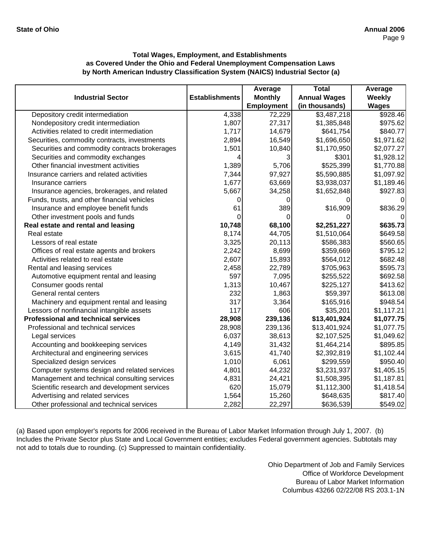|                                               |                       | Average           | <b>Total</b>        | Average       |
|-----------------------------------------------|-----------------------|-------------------|---------------------|---------------|
| <b>Industrial Sector</b>                      | <b>Establishments</b> | <b>Monthly</b>    | <b>Annual Wages</b> | <b>Weekly</b> |
|                                               |                       | <b>Employment</b> | (in thousands)      | <b>Wages</b>  |
| Depository credit intermediation              | 4,338                 | 72,229            | \$3,487,218         | \$928.46      |
| Nondepository credit intermediation           | 1,807                 | 27,317            | \$1,385,848         | \$975.62      |
| Activities related to credit intermediation   | 1,717                 | 14,679            | \$641,754           | \$840.77      |
| Securities, commodity contracts, investments  | 2,894                 | 16,549            | \$1,696,650         | \$1,971.62    |
| Securities and commodity contracts brokerages | 1,501                 | 10,840            | \$1,170,950         | \$2,077.27    |
| Securities and commodity exchanges            | 4                     | 3                 | \$301               | \$1,928.12    |
| Other financial investment activities         | 1,389                 | 5,706             | \$525,399           | \$1,770.88    |
| Insurance carriers and related activities     | 7,344                 | 97,927            | \$5,590,885         | \$1,097.92    |
| Insurance carriers                            | 1,677                 | 63,669            | \$3,938,037         | \$1,189.46    |
| Insurance agencies, brokerages, and related   | 5,667                 | 34,258            | \$1,652,848         | \$927.83      |
| Funds, trusts, and other financial vehicles   | O                     | 0                 |                     | 0             |
| Insurance and employee benefit funds          | 61                    | 389               | \$16,909            | \$836.29      |
| Other investment pools and funds              | ∩                     | 0                 |                     | 0             |
| Real estate and rental and leasing            | 10,748                | 68,100            | \$2,251,227         | \$635.73      |
| Real estate                                   | 8,174                 | 44,705            | \$1,510,064         | \$649.58      |
| Lessors of real estate                        | 3,325                 | 20,113            | \$586,383           | \$560.65      |
| Offices of real estate agents and brokers     | 2,242                 | 8,699             | \$359,669           | \$795.12      |
| Activities related to real estate             | 2,607                 | 15,893            | \$564,012           | \$682.48      |
| Rental and leasing services                   | 2,458                 | 22,789            | \$705,963           | \$595.73      |
| Automotive equipment rental and leasing       | 597                   | 7,095             | \$255,522           | \$692.58      |
| Consumer goods rental                         | 1,313                 | 10,467            | \$225,127           | \$413.62      |
| General rental centers                        | 232                   | 1,863             | \$59,397            | \$613.08      |
| Machinery and equipment rental and leasing    | 317                   | 3,364             | \$165,916           | \$948.54      |
| Lessors of nonfinancial intangible assets     | 117                   | 606               | \$35,201            | \$1,117.21    |
| <b>Professional and technical services</b>    | 28,908                | 239,136           | \$13,401,924        | \$1,077.75    |
| Professional and technical services           | 28,908                | 239,136           | \$13,401,924        | \$1,077.75    |
| Legal services                                | 6,037                 | 38,613            | \$2,107,525         | \$1,049.62    |
| Accounting and bookkeeping services           | 4,149                 | 31,432            | \$1,464,214         | \$895.85      |
| Architectural and engineering services        | 3,615                 | 41,740            | \$2,392,819         | \$1,102.44    |
| Specialized design services                   | 1,010                 | 6,061             | \$299,559           | \$950.40      |
| Computer systems design and related services  | 4,801                 | 44,232            | \$3,231,937         | \$1,405.15    |
| Management and technical consulting services  | 4,831                 | 24,421            | \$1,508,395         | \$1,187.81    |
| Scientific research and development services  | 620                   | 15,079            | \$1,112,300         | \$1,418.54    |
| Advertising and related services              | 1,564                 | 15,260            | \$648,635           | \$817.40      |
| Other professional and technical services     | 2,282                 | 22,297            | \$636,539           | \$549.02      |

(a) Based upon employer's reports for 2006 received in the Bureau of Labor Market Information through July 1, 2007. (b) Includes the Private Sector plus State and Local Government entities; excludes Federal government agencies. Subtotals may not add to totals due to rounding. (c) Suppressed to maintain confidentiality.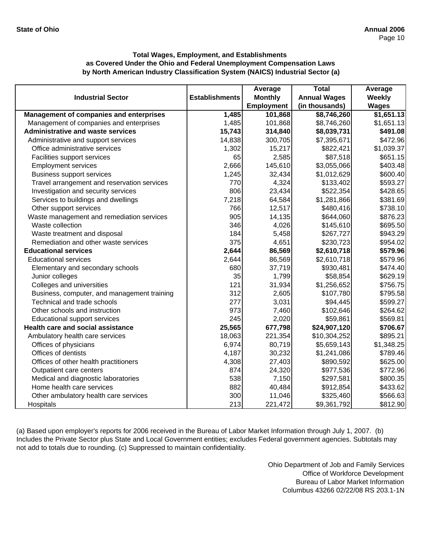|                                                |                       | Average           | <b>Total</b>        | Average       |
|------------------------------------------------|-----------------------|-------------------|---------------------|---------------|
| <b>Industrial Sector</b>                       | <b>Establishments</b> | <b>Monthly</b>    | <b>Annual Wages</b> | <b>Weekly</b> |
|                                                |                       | <b>Employment</b> | (in thousands)      | <b>Wages</b>  |
| <b>Management of companies and enterprises</b> | 1,485                 | 101,868           | \$8,746,260         | \$1,651.13    |
| Management of companies and enterprises        | 1,485                 | 101,868           | \$8,746,260         | \$1,651.13    |
| <b>Administrative and waste services</b>       | 15,743                | 314,840           | \$8,039,731         | \$491.08      |
| Administrative and support services            | 14,838                | 300,705           | \$7,395,671         | \$472.96      |
| Office administrative services                 | 1,302                 | 15,217            | \$822,421           | \$1,039.37    |
| Facilities support services                    | 65                    | 2,585             | \$87,518            | \$651.15      |
| <b>Employment services</b>                     | 2,666                 | 145,610           | \$3,055,066         | \$403.48]     |
| <b>Business support services</b>               | 1,245                 | 32,434            | \$1,012,629         | \$600.40      |
| Travel arrangement and reservation services    | 770                   | 4,324             | \$133,402           | \$593.27      |
| Investigation and security services            | 806                   | 23,434            | \$522,354           | \$428.65      |
| Services to buildings and dwellings            | 7,218                 | 64,584            | \$1,281,866         | \$381.69      |
| Other support services                         | 766                   | 12,517            | \$480,416           | \$738.10      |
| Waste management and remediation services      | 905                   | 14,135            | \$644,060           | \$876.23      |
| Waste collection                               | 346                   | 4,026             | \$145,610           | \$695.50      |
| Waste treatment and disposal                   | 184                   | 5,458             | \$267,727           | \$943.29      |
| Remediation and other waste services           | 375                   | 4,651             | \$230,723           | \$954.02      |
| <b>Educational services</b>                    | 2,644                 | 86,569            | \$2,610,718         | \$579.96      |
| <b>Educational services</b>                    | 2,644                 | 86,569            | \$2,610,718         | \$579.96      |
| Elementary and secondary schools               | 680                   | 37,719            | \$930,481           | \$474.40      |
| Junior colleges                                | 35                    | 1,799             | \$58,854            | \$629.19      |
| Colleges and universities                      | 121                   | 31,934            | \$1,256,652         | \$756.75      |
| Business, computer, and management training    | 312                   | 2,605             | \$107,780           | \$795.58      |
| Technical and trade schools                    | 277                   | 3,031             | \$94,445            | \$599.27      |
| Other schools and instruction                  | 973                   | 7,460             | \$102,646           | \$264.62      |
| <b>Educational support services</b>            | 245                   | 2,020             | \$59,861            | \$569.81      |
| Health care and social assistance              | 25,565                | 677,798           | \$24,907,120        | \$706.67      |
| Ambulatory health care services                | 18,063                | 221,354           | \$10,304,252        | \$895.21      |
| Offices of physicians                          | 6,974                 | 80,719            | \$5,659,143         | \$1,348.25    |
| Offices of dentists                            | 4,187                 | 30,232            | \$1,241,086         | \$789.46      |
| Offices of other health practitioners          | 4,308                 | 27,403            | \$890,592           | \$625.00      |
| Outpatient care centers                        | 874                   | 24,320            | \$977,536           | \$772.96      |
| Medical and diagnostic laboratories            | 538                   | 7,150             | \$297,581           | \$800.35      |
| Home health care services                      | 882                   | 40,484            | \$912,854           | \$433.62      |
| Other ambulatory health care services          | 300                   | 11,046            | \$325,460           | \$566.63      |
| Hospitals                                      | 213                   | 221,472           | \$9,361,792         | \$812.90      |

(a) Based upon employer's reports for 2006 received in the Bureau of Labor Market Information through July 1, 2007. (b) Includes the Private Sector plus State and Local Government entities; excludes Federal government agencies. Subtotals may not add to totals due to rounding. (c) Suppressed to maintain confidentiality.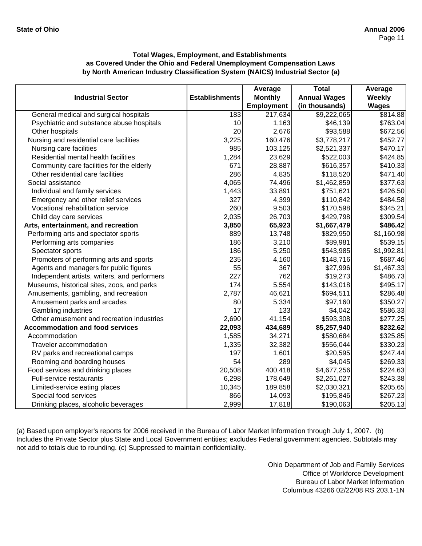|                                              |                       | Average           | <b>Total</b>        | Average       |
|----------------------------------------------|-----------------------|-------------------|---------------------|---------------|
| <b>Industrial Sector</b>                     | <b>Establishments</b> | <b>Monthly</b>    | <b>Annual Wages</b> | <b>Weekly</b> |
|                                              |                       | <b>Employment</b> | (in thousands)      | <b>Wages</b>  |
| General medical and surgical hospitals       | 183                   | 217,634           | \$9,222,065         | \$814.88      |
| Psychiatric and substance abuse hospitals    | 10                    | 1,163             | \$46,139            | \$763.04      |
| Other hospitals                              | 20                    | 2,676             | \$93,588            | \$672.56      |
| Nursing and residential care facilities      | 3,225                 | 160,476           | \$3,778,217         | \$452.77      |
| Nursing care facilities                      | 985                   | 103,125           | \$2,521,337         | \$470.17      |
| Residential mental health facilities         | 1,284                 | 23,629            | \$522,003           | \$424.85      |
| Community care facilities for the elderly    | 671                   | 28,887            | \$616,357           | \$410.33      |
| Other residential care facilities            | 286                   | 4,835             | \$118,520           | \$471.40      |
| Social assistance                            | 4,065                 | 74,496            | \$1,462,859         | \$377.63      |
| Individual and family services               | 1,443                 | 33,891            | \$751,621           | \$426.50      |
| Emergency and other relief services          | 327                   | 4,399             | \$110,842           | \$484.58      |
| Vocational rehabilitation service            | 260                   | 9,503             | \$170,598           | \$345.21      |
| Child day care services                      | 2,035                 | 26,703            | \$429,798           | \$309.54      |
| Arts, entertainment, and recreation          | 3,850                 | 65,923            | \$1,667,479         | \$486.42      |
| Performing arts and spectator sports         | 889                   | 13,748            | \$829,950           | \$1,160.98    |
| Performing arts companies                    | 186                   | 3,210             | \$89,981            | \$539.15      |
| Spectator sports                             | 186                   | 5,250             | \$543,985           | \$1,992.81    |
| Promoters of performing arts and sports      | 235                   | 4,160             | \$148,716           | \$687.46      |
| Agents and managers for public figures       | 55                    | 367               | \$27,996            | \$1,467.33    |
| Independent artists, writers, and performers | 227                   | 762               | \$19,273            | \$486.73      |
| Museums, historical sites, zoos, and parks   | 174                   | 5,554             | \$143,018           | \$495.17      |
| Amusements, gambling, and recreation         | 2,787                 | 46,621            | \$694,511           | \$286.48      |
| Amusement parks and arcades                  | 80                    | 5,334             | \$97,160            | \$350.27      |
| <b>Gambling industries</b>                   | 17                    | 133               | \$4,042             | \$586.33      |
| Other amusement and recreation industries    | 2,690                 | 41,154            | \$593,308           | \$277.25      |
| <b>Accommodation and food services</b>       | 22,093                | 434,689           | \$5,257,940         | \$232.62      |
| Accommodation                                | 1,585                 | 34,271            | \$580,684           | \$325.85      |
| Traveler accommodation                       | 1,335                 | 32,382            | \$556,044           | \$330.23      |
| RV parks and recreational camps              | 197                   | 1,601             | \$20,595            | \$247.44      |
| Rooming and boarding houses                  | 54                    | 289               | \$4,045             | \$269.33      |
| Food services and drinking places            | 20,508                | 400,418           | \$4,677,256         | \$224.63      |
| Full-service restaurants                     | 6,298                 | 178,649           | \$2,261,027         | \$243.38      |
| Limited-service eating places                | 10,345                | 189,858           | \$2,030,321         | \$205.65      |
| Special food services                        | 866                   | 14,093            | \$195,846           | \$267.23      |
| Drinking places, alcoholic beverages         | 2,999                 | 17,818            | \$190,063           | \$205.13      |

(a) Based upon employer's reports for 2006 received in the Bureau of Labor Market Information through July 1, 2007. (b) Includes the Private Sector plus State and Local Government entities; excludes Federal government agencies. Subtotals may not add to totals due to rounding. (c) Suppressed to maintain confidentiality.